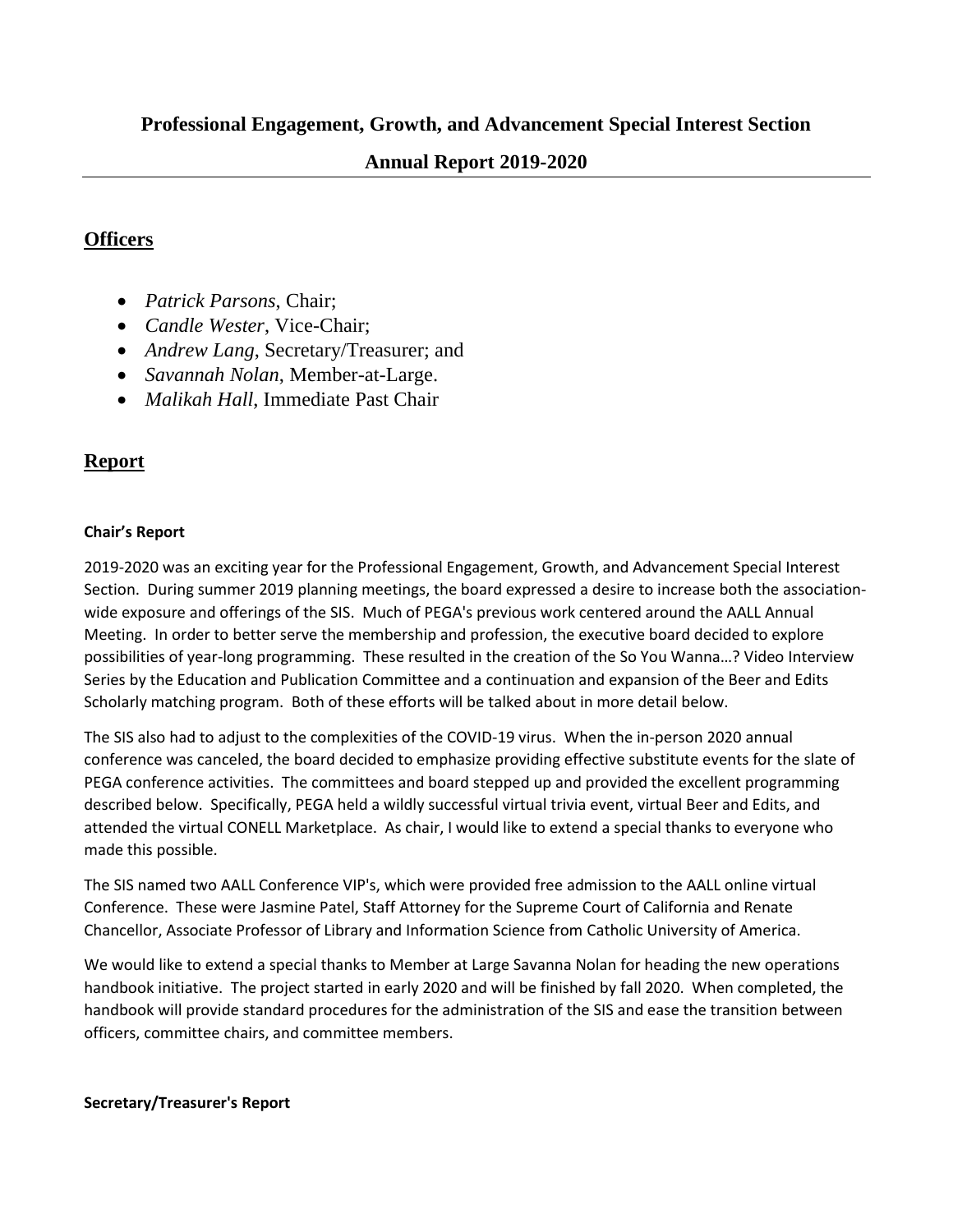## **Professional Engagement, Growth, and Advancement Special Interest Section**

# **Annual Report 2019-2020**

# **Officers**

- *Patrick Parsons*, Chair;
- *Candle Wester*, Vice-Chair;
- *Andrew Lang*, Secretary/Treasurer; and
- *Savannah Nolan*, Member-at-Large.
- *Malikah Hall*, Immediate Past Chair

# **Report**

## **Chair's Report**

2019-2020 was an exciting year for the Professional Engagement, Growth, and Advancement Special Interest Section. During summer 2019 planning meetings, the board expressed a desire to increase both the associationwide exposure and offerings of the SIS. Much of PEGA's previous work centered around the AALL Annual Meeting. In order to better serve the membership and profession, the executive board decided to explore possibilities of year-long programming. These resulted in the creation of the So You Wanna…? Video Interview Series by the Education and Publication Committee and a continuation and expansion of the Beer and Edits Scholarly matching program. Both of these efforts will be talked about in more detail below.

The SIS also had to adjust to the complexities of the COVID-19 virus. When the in-person 2020 annual conference was canceled, the board decided to emphasize providing effective substitute events for the slate of PEGA conference activities. The committees and board stepped up and provided the excellent programming described below. Specifically, PEGA held a wildly successful virtual trivia event, virtual Beer and Edits, and attended the virtual CONELL Marketplace. As chair, I would like to extend a special thanks to everyone who made this possible.

The SIS named two AALL Conference VIP's, which were provided free admission to the AALL online virtual Conference. These were Jasmine Patel, Staff Attorney for the Supreme Court of California and Renate Chancellor, Associate Professor of Library and Information Science from Catholic University of America.

We would like to extend a special thanks to Member at Large Savanna Nolan for heading the new operations handbook initiative. The project started in early 2020 and will be finished by fall 2020. When completed, the handbook will provide standard procedures for the administration of the SIS and ease the transition between officers, committee chairs, and committee members.

#### **Secretary/Treasurer's Report**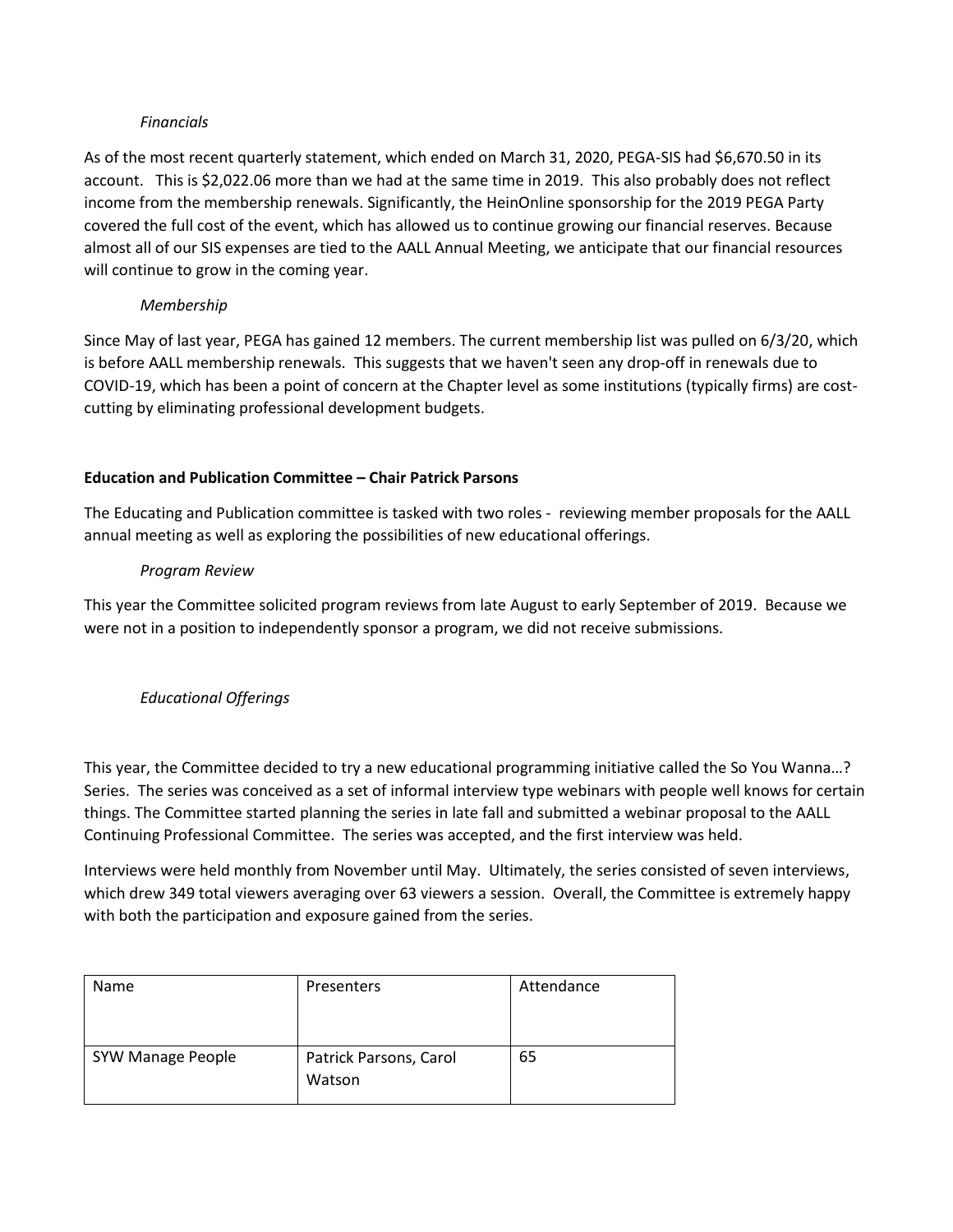#### *Financials*

As of the most recent quarterly statement, which ended on March 31, 2020, PEGA-SIS had \$6,670.50 in its account. This is \$2,022.06 more than we had at the same time in 2019. This also probably does not reflect income from the membership renewals. Significantly, the HeinOnline sponsorship for the 2019 PEGA Party covered the full cost of the event, which has allowed us to continue growing our financial reserves. Because almost all of our SIS expenses are tied to the AALL Annual Meeting, we anticipate that our financial resources will continue to grow in the coming year.

## *Membership*

Since May of last year, PEGA has gained 12 members. The current membership list was pulled on 6/3/20, which is before AALL membership renewals. This suggests that we haven't seen any drop-off in renewals due to COVID-19, which has been a point of concern at the Chapter level as some institutions (typically firms) are costcutting by eliminating professional development budgets.

### **Education and Publication Committee – Chair Patrick Parsons**

The Educating and Publication committee is tasked with two roles - reviewing member proposals for the AALL annual meeting as well as exploring the possibilities of new educational offerings.

#### *Program Review*

This year the Committee solicited program reviews from late August to early September of 2019. Because we were not in a position to independently sponsor a program, we did not receive submissions.

## *Educational Offerings*

This year, the Committee decided to try a new educational programming initiative called the So You Wanna…? Series. The series was conceived as a set of informal interview type webinars with people well knows for certain things. The Committee started planning the series in late fall and submitted a webinar proposal to the AALL Continuing Professional Committee. The series was accepted, and the first interview was held.

Interviews were held monthly from November until May. Ultimately, the series consisted of seven interviews, which drew 349 total viewers averaging over 63 viewers a session. Overall, the Committee is extremely happy with both the participation and exposure gained from the series.

| <b>Name</b>              | <b>Presenters</b>                | Attendance |
|--------------------------|----------------------------------|------------|
| <b>SYW Manage People</b> | Patrick Parsons, Carol<br>Watson | 65         |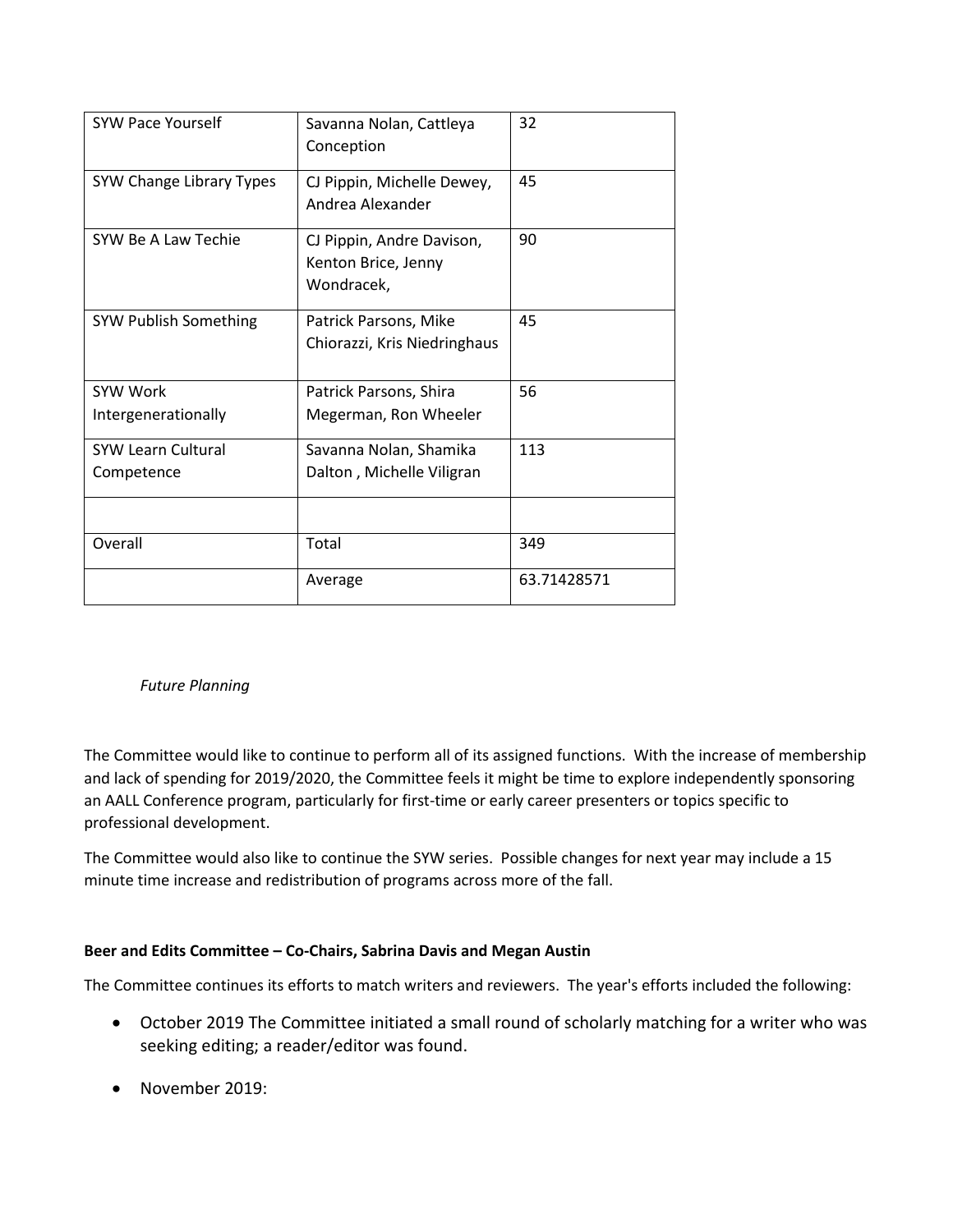| <b>SYW Pace Yourself</b>                | Savanna Nolan, Cattleya<br>Conception                          | 32          |
|-----------------------------------------|----------------------------------------------------------------|-------------|
| SYW Change Library Types                | CJ Pippin, Michelle Dewey,<br>Andrea Alexander                 | 45          |
| SYW Be A Law Techie                     | CJ Pippin, Andre Davison,<br>Kenton Brice, Jenny<br>Wondracek, | 90          |
| <b>SYW Publish Something</b>            | Patrick Parsons, Mike<br>Chiorazzi, Kris Niedringhaus          | 45          |
| SYW Work<br>Intergenerationally         | Patrick Parsons, Shira<br>Megerman, Ron Wheeler                | 56          |
| <b>SYW Learn Cultural</b><br>Competence | Savanna Nolan, Shamika<br>Dalton, Michelle Viligran            | 113         |
| Overall                                 | Total                                                          | 349         |
|                                         | Average                                                        | 63.71428571 |

## *Future Planning*

The Committee would like to continue to perform all of its assigned functions. With the increase of membership and lack of spending for 2019/2020, the Committee feels it might be time to explore independently sponsoring an AALL Conference program, particularly for first-time or early career presenters or topics specific to professional development.

The Committee would also like to continue the SYW series. Possible changes for next year may include a 15 minute time increase and redistribution of programs across more of the fall.

#### **Beer and Edits Committee – Co-Chairs, Sabrina Davis and Megan Austin**

The Committee continues its efforts to match writers and reviewers. The year's efforts included the following:

- October 2019 The Committee initiated a small round of scholarly matching for a writer who was seeking editing; a reader/editor was found.
- November 2019: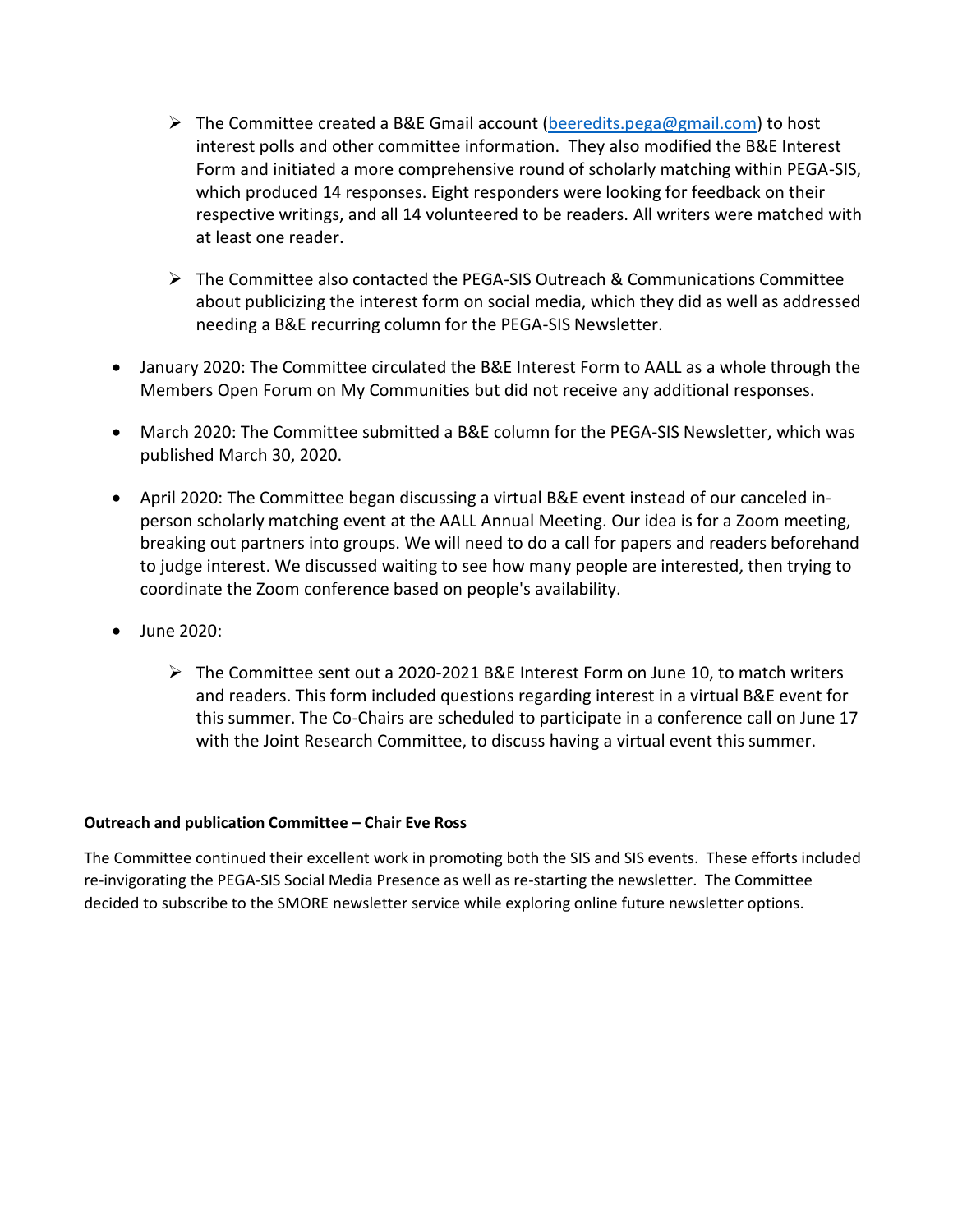- $\triangleright$  The Committee created a B&E Gmail account [\(beeredits.pega@gmail.com\)](mailto:beeredits.pega@gmail.com) to host interest polls and other committee information. They also modified the B&E Interest Form and initiated a more comprehensive round of scholarly matching within PEGA-SIS, which produced 14 responses. Eight responders were looking for feedback on their respective writings, and all 14 volunteered to be readers. All writers were matched with at least one reader.
- $\triangleright$  The Committee also contacted the PEGA-SIS Outreach & Communications Committee about publicizing the interest form on social media, which they did as well as addressed needing a B&E recurring column for the PEGA-SIS Newsletter.
- January 2020: The Committee circulated the B&E Interest Form to AALL as a whole through the Members Open Forum on My Communities but did not receive any additional responses.
- March 2020: The Committee submitted a B&E column for the PEGA-SIS Newsletter, which was published March 30, 2020.
- April 2020: The Committee began discussing a virtual B&E event instead of our canceled inperson scholarly matching event at the AALL Annual Meeting. Our idea is for a Zoom meeting, breaking out partners into groups. We will need to do a call for papers and readers beforehand to judge interest. We discussed waiting to see how many people are interested, then trying to coordinate the Zoom conference based on people's availability.
- June 2020:
	- $\triangleright$  The Committee sent out a 2020-2021 B&E Interest Form on June 10, to match writers and readers. This form included questions regarding interest in a virtual B&E event for this summer. The Co-Chairs are scheduled to participate in a conference call on June 17 with the Joint Research Committee, to discuss having a virtual event this summer.

## **Outreach and publication Committee – Chair Eve Ross**

The Committee continued their excellent work in promoting both the SIS and SIS events. These efforts included re-invigorating the PEGA-SIS Social Media Presence as well as re-starting the newsletter. The Committee decided to subscribe to the SMORE newsletter service while exploring online future newsletter options.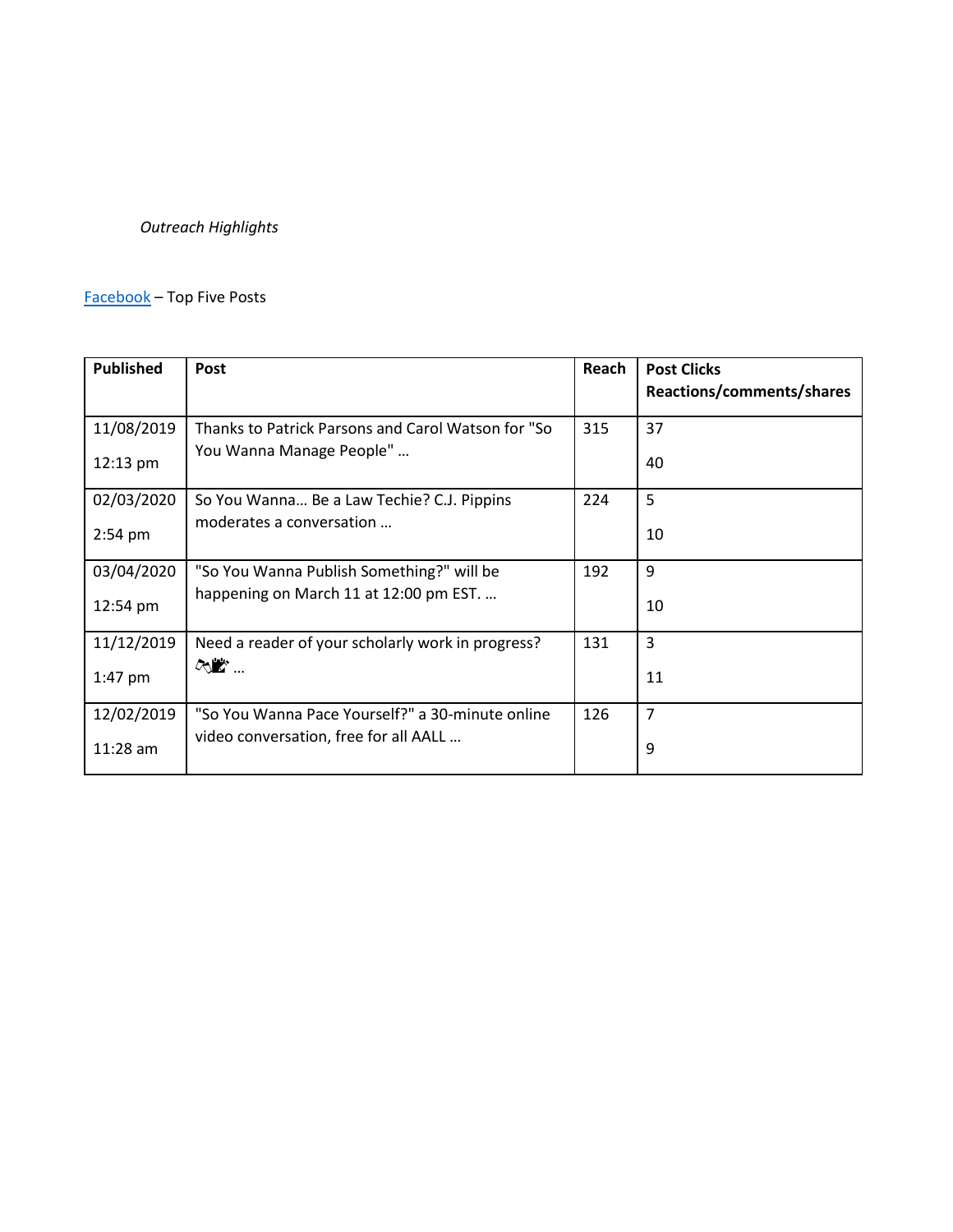# *Outreach Highlights*

# [Facebook](https://nam03.safelinks.protection.outlook.com/?url=http%3A%2F%2Fwww.facebook.com%2Faallpegasis&data=02%7C01%7Cpparsons%40gsu.edu%7C29cd1db9bad94759d69308d80bed3885%7C515ad73d8d5e4169895c9789dc742a70%7C0%7C0%7C637272460786343551&sdata=2bNyQnTwwCy6ZLLvAE%2FSRlOL0PhNPigzFCeOxvtqoLI%3D&reserved=0) – Top Five Posts

| <b>Published</b> | Post                                               | Reach | <b>Post Clicks</b><br>Reactions/comments/shares |
|------------------|----------------------------------------------------|-------|-------------------------------------------------|
| 11/08/2019       | Thanks to Patrick Parsons and Carol Watson for "So | 315   | 37                                              |
| 12:13 pm         | You Wanna Manage People"                           |       | 40                                              |
| 02/03/2020       | So You Wanna Be a Law Techie? C.J. Pippins         | 224   | 5                                               |
| $2:54$ pm        | moderates a conversation                           |       | 10                                              |
| 03/04/2020       | "So You Wanna Publish Something?" will be          | 192   | 9                                               |
| 12:54 pm         | happening on March 11 at 12:00 pm EST.             |       | 10                                              |
| 11/12/2019       | Need a reader of your scholarly work in progress?  | 131   | 3                                               |
| $1:47$ pm        | $\sim$ $\sim$                                      |       | 11                                              |
| 12/02/2019       | "So You Wanna Pace Yourself?" a 30-minute online   | 126   | 7                                               |
| $11:28$ am       | video conversation, free for all AALL              |       | 9                                               |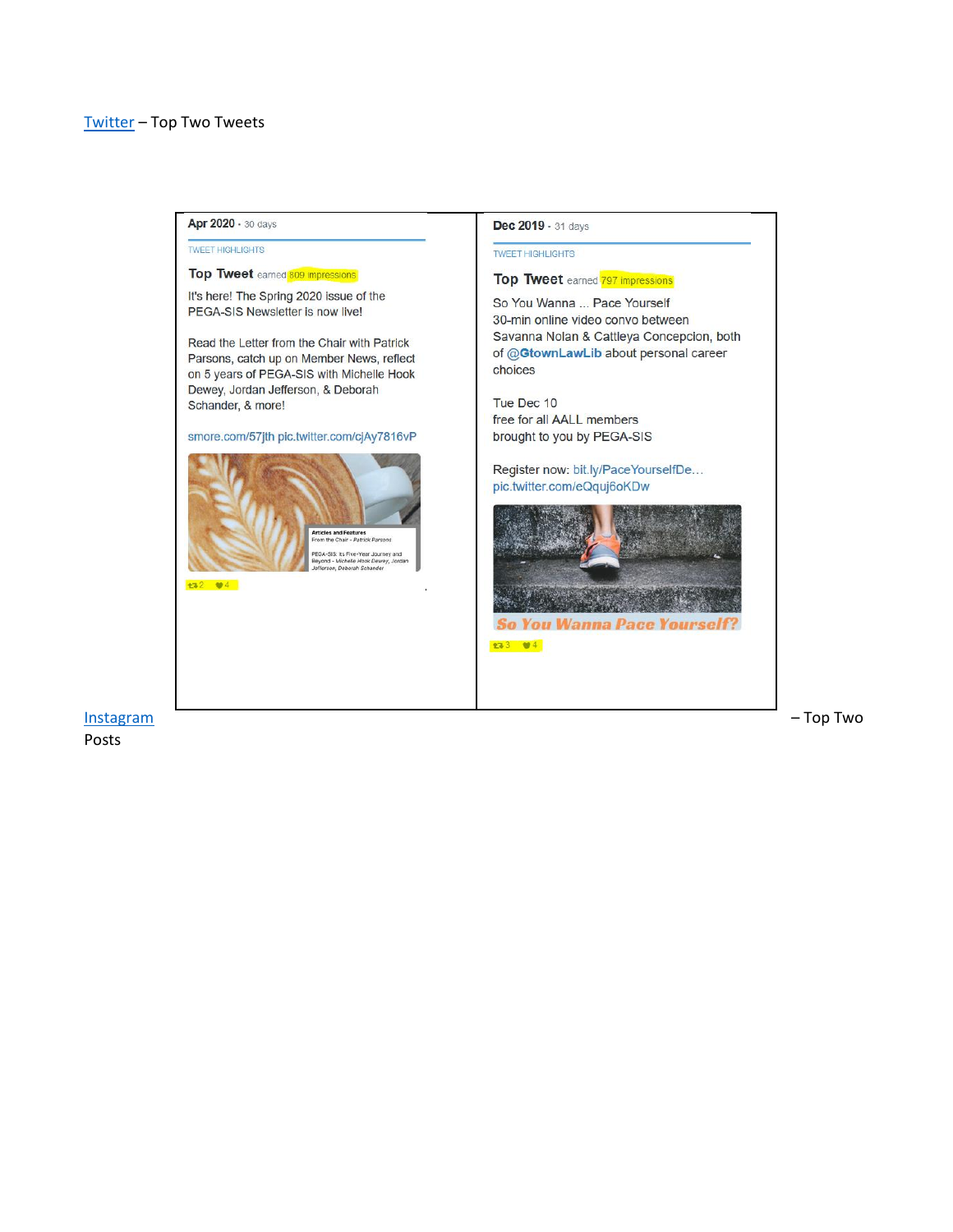#### [Twitter](https://nam03.safelinks.protection.outlook.com/?url=https%3A%2F%2Ftwitter.com%2Faallpegasis&data=02%7C01%7Cpparsons%40gsu.edu%7C29cd1db9bad94759d69308d80bed3885%7C515ad73d8d5e4169895c9789dc742a70%7C0%7C0%7C637272460786353551&sdata=agtHxWdJwIgNTCgDJitbaVgGRGADoFj92WLwDYw1N6I%3D&reserved=0) – Top Two Tweets



Posts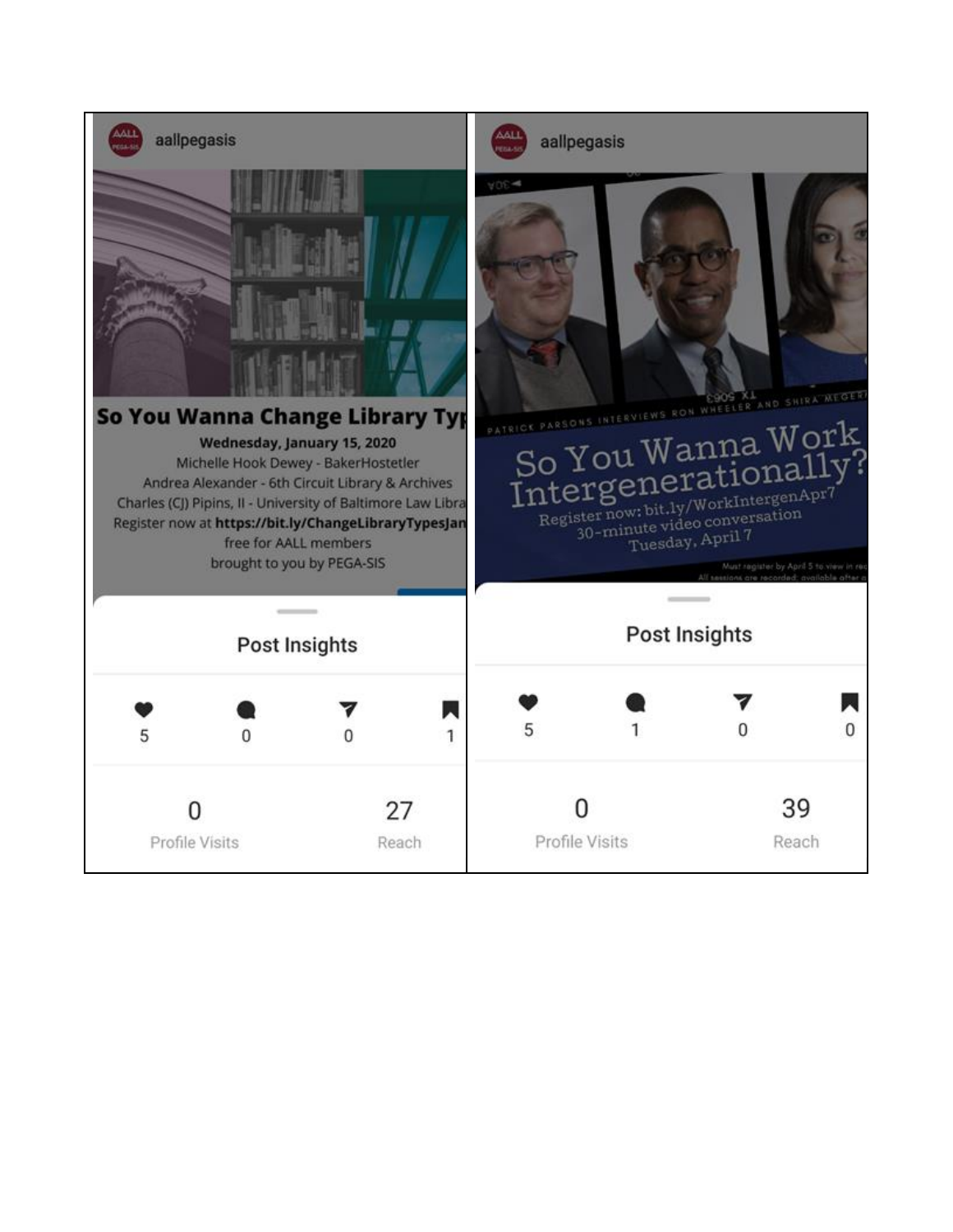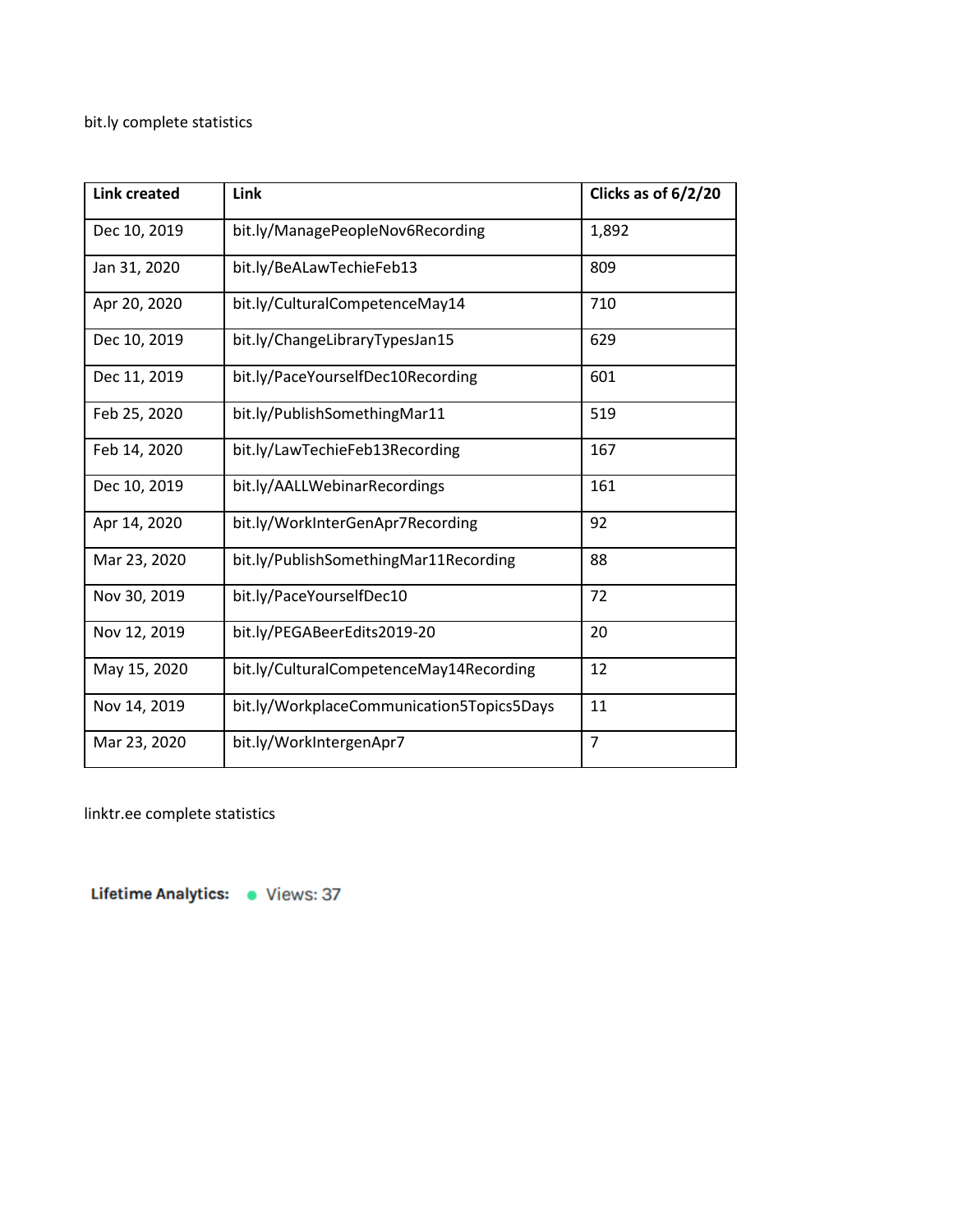bit.ly complete statistics

| <b>Link created</b> | Link                                      | Clicks as of 6/2/20 |
|---------------------|-------------------------------------------|---------------------|
| Dec 10, 2019        | bit.ly/ManagePeopleNov6Recording          | 1,892               |
| Jan 31, 2020        | bit.ly/BeALawTechieFeb13                  | 809                 |
| Apr 20, 2020        | bit.ly/CulturalCompetenceMay14            | 710                 |
| Dec 10, 2019        | bit.ly/ChangeLibraryTypesJan15            | 629                 |
| Dec 11, 2019        | bit.ly/PaceYourselfDec10Recording         | 601                 |
| Feb 25, 2020        | bit.ly/PublishSomethingMar11              | 519                 |
| Feb 14, 2020        | bit.ly/LawTechieFeb13Recording            | 167                 |
| Dec 10, 2019        | bit.ly/AALLWebinarRecordings              | 161                 |
| Apr 14, 2020        | bit.ly/WorkInterGenApr7Recording          | 92                  |
| Mar 23, 2020        | bit.ly/PublishSomethingMar11Recording     | 88                  |
| Nov 30, 2019        | bit.ly/PaceYourselfDec10                  | 72                  |
| Nov 12, 2019        | bit.ly/PEGABeerEdits2019-20               | 20                  |
| May 15, 2020        | bit.ly/CulturalCompetenceMay14Recording   | 12                  |
| Nov 14, 2019        | bit.ly/WorkplaceCommunication5Topics5Days | 11                  |
| Mar 23, 2020        | bit.ly/WorkIntergenApr7                   | $\overline{7}$      |

linktr.ee complete statistics

Lifetime Analytics: • Views: 37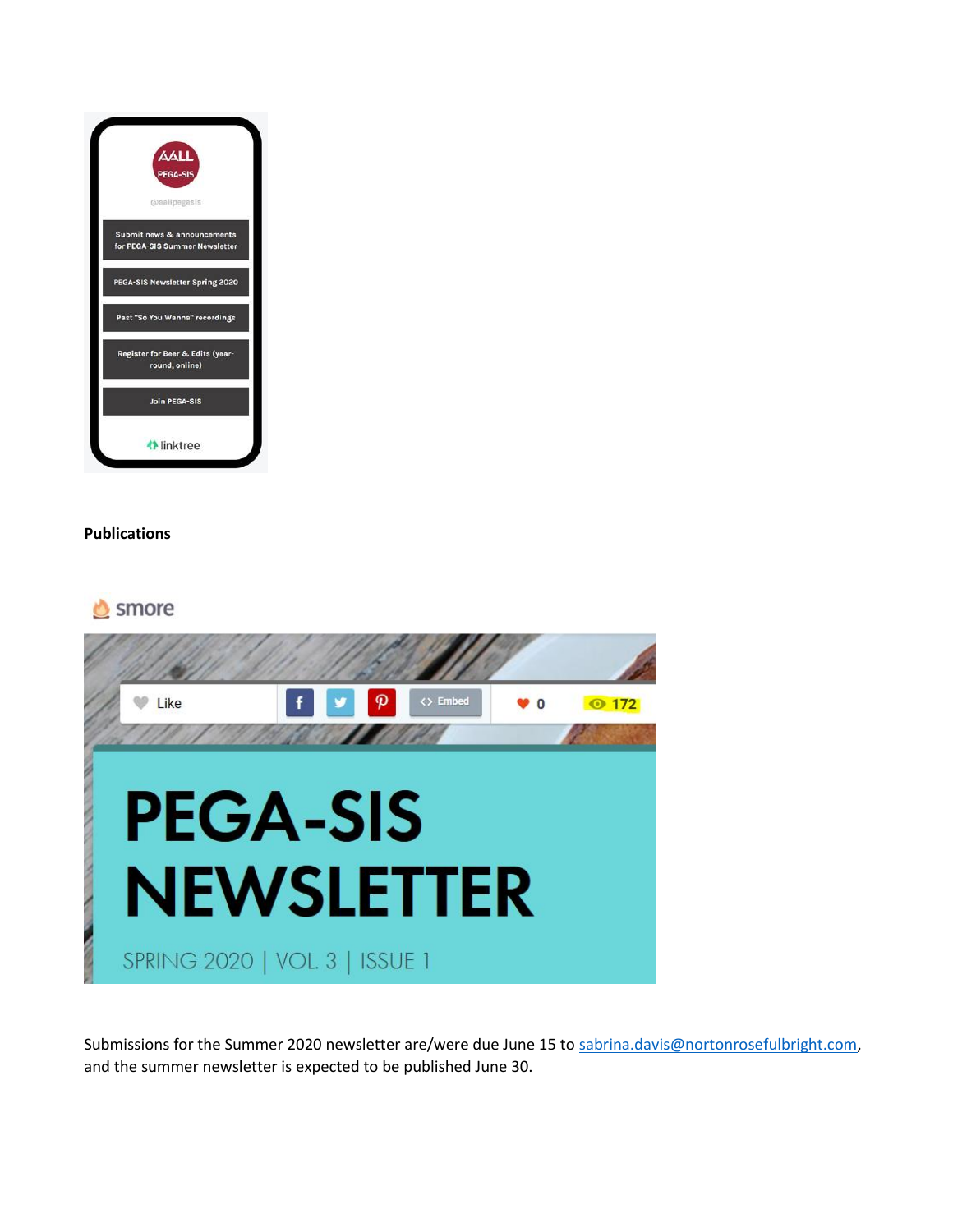

## **Publications**

smore



Submissions for the Summer 2020 newsletter are/were due June 15 to [sabrina.davis@nortonrosefulbright.com,](mailto:sabrina.davis@nortonrosefulbright.com) and the summer newsletter is expected to be published June 30.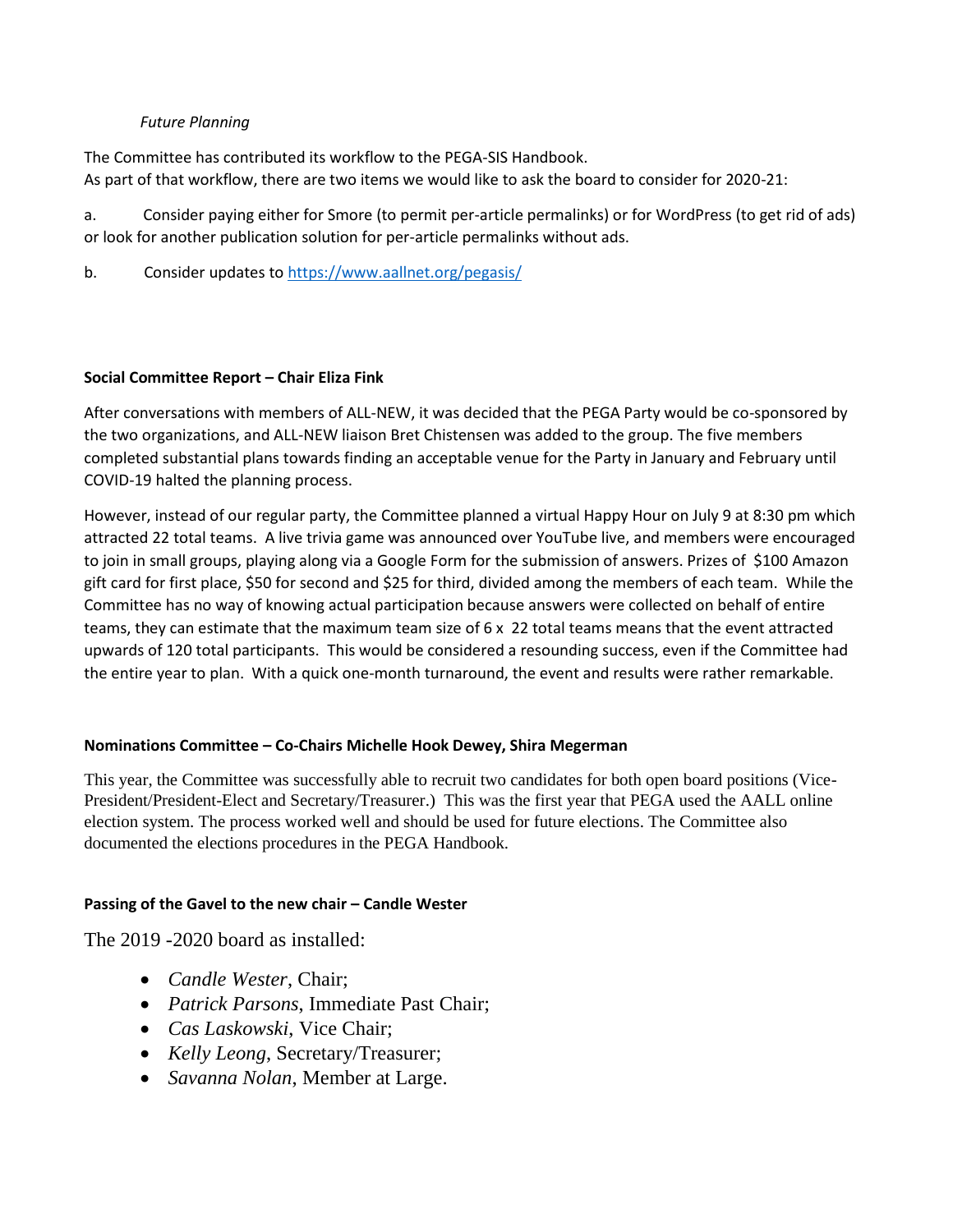#### *Future Planning*

The Committee has contributed its workflow to the PEGA-SIS Handbook. As part of that workflow, there are two items we would like to ask the board to consider for 2020-21:

a. Consider paying either for Smore (to permit per-article permalinks) or for WordPress (to get rid of ads) or look for another publication solution for per-article permalinks without ads.

b. Consider updates to [https://www.aallnet.org/pegasis/](https://nam03.safelinks.protection.outlook.com/?url=https%3A%2F%2Fwww.aallnet.org%2Fpegasis%2F&data=02%7C01%7Cpparsons%40gsu.edu%7C29cd1db9bad94759d69308d80bed3885%7C515ad73d8d5e4169895c9789dc742a70%7C0%7C0%7C637272460786363551&sdata=45KboozhgQHM%2Bxlc6SoguDGCV3cwqjJeGtU%2FLP86oJg%3D&reserved=0)

## **Social Committee Report – Chair Eliza Fink**

After conversations with members of ALL-NEW, it was decided that the PEGA Party would be co-sponsored by the two organizations, and ALL-NEW liaison Bret Chistensen was added to the group. The five members completed substantial plans towards finding an acceptable venue for the Party in January and February until COVID-19 halted the planning process.

However, instead of our regular party, the Committee planned a virtual Happy Hour on July 9 at 8:30 pm which attracted 22 total teams. A live trivia game was announced over YouTube live, and members were encouraged to join in small groups, playing along via a Google Form for the submission of answers. Prizes of \$100 Amazon gift card for first place, \$50 for second and \$25 for third, divided among the members of each team. While the Committee has no way of knowing actual participation because answers were collected on behalf of entire teams, they can estimate that the maximum team size of 6 x 22 total teams means that the event attracted upwards of 120 total participants. This would be considered a resounding success, even if the Committee had the entire year to plan. With a quick one-month turnaround, the event and results were rather remarkable.

## **Nominations Committee – Co-Chairs Michelle Hook Dewey, Shira Megerman**

This year, the Committee was successfully able to recruit two candidates for both open board positions (Vice-President/President-Elect and Secretary/Treasurer.) This was the first year that PEGA used the AALL online election system. The process worked well and should be used for future elections. The Committee also documented the elections procedures in the PEGA Handbook.

## **Passing of the Gavel to the new chair – Candle Wester**

The 2019 -2020 board as installed:

- *Candle Wester*, Chair;
- *Patrick Parsons*, Immediate Past Chair;
- *Cas Laskowski*, Vice Chair;
- *Kelly Leong*, Secretary/Treasurer;
- *Savanna Nolan*, Member at Large.